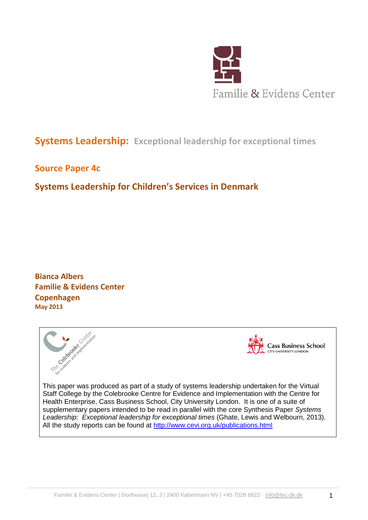

# **Systems Leadership: Exceptional leadership for exceptional times**

# **Source Paper 4c**

# **Systems Leadership for Children's Services in Denmark**

**Bianca Albers Familie & Evidens Center Copenhagen May 2013**





**Cass Business School** CITY UNIVERSITY LONDON

This paper was produced as part of a study of systems leadership undertaken for the Virtual Staff College by the Colebrooke Centre for Evidence and Implementation with the Centre for Health Enterprise, Cass Business School, City University London. It is one of a suite of supplementary papers intended to be read in parallel with the core Synthesis Paper *Systems Leadership: Exceptional leadership for exceptional times* (Ghate, Lewis and Welbourn, 2013). All the study reports can be found at <http://www.cevi.org.uk/publications.html>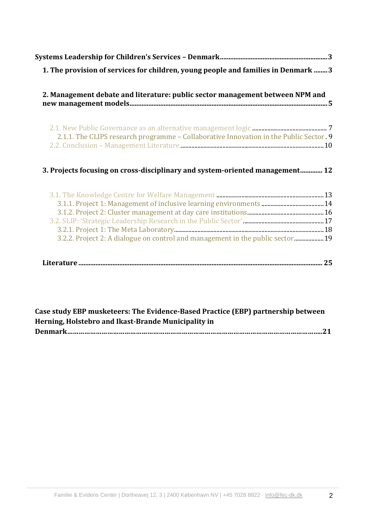| 1. The provision of services for children, young people and families in Denmark  3     |    |
|----------------------------------------------------------------------------------------|----|
|                                                                                        |    |
| 2. Management debate and literature: public sector management between NPM and          |    |
|                                                                                        |    |
|                                                                                        |    |
| 2.1.1. The CLIPS research programme - Collaborative Innovation in the Public Sector. 9 |    |
|                                                                                        |    |
|                                                                                        |    |
| 3. Projects focusing on cross-disciplinary and system-oriented management 12           |    |
|                                                                                        |    |
|                                                                                        |    |
|                                                                                        |    |
|                                                                                        |    |
| 3.2.2. Project 2: A dialogue on control and management in the public sector19          |    |
|                                                                                        |    |
|                                                                                        | 25 |

**Case study EBP musketeers: The Evidence-Based Practice (EBP) partnership between Herning, Holstebro and Ikast-Brande Municipality in Denmark……………………………………………………………………………………………………………………..21**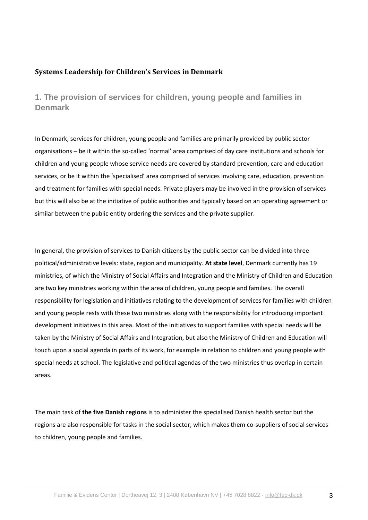### **Systems Leadership for Children's Services in Denmark**

**1. The provision of services for children, young people and families in Denmark**

In Denmark, services for children, young people and families are primarily provided by public sector organisations – be it within the so-called 'normal' area comprised of day care institutions and schools for children and young people whose service needs are covered by standard prevention, care and education services, or be it within the 'specialised' area comprised of services involving care, education, prevention and treatment for families with special needs. Private players may be involved in the provision of services but this will also be at the initiative of public authorities and typically based on an operating agreement or similar between the public entity ordering the services and the private supplier.

In general, the provision of services to Danish citizens by the public sector can be divided into three political/administrative levels: state, region and municipality. **At state level**, Denmark currently has 19 ministries, of which the Ministry of Social Affairs and Integration and the Ministry of Children and Education are two key ministries working within the area of children, young people and families. The overall responsibility for legislation and initiatives relating to the development of services for families with children and young people rests with these two ministries along with the responsibility for introducing important development initiatives in this area. Most of the initiatives to support families with special needs will be taken by the Ministry of Social Affairs and Integration, but also the Ministry of Children and Education will touch upon a social agenda in parts of its work, for example in relation to children and young people with special needs at school. The legislative and political agendas of the two ministries thus overlap in certain areas.

The main task of **the five Danish regions** is to administer the specialised Danish health sector but the regions are also responsible for tasks in the social sector, which makes them co-suppliers of social services to children, young people and families.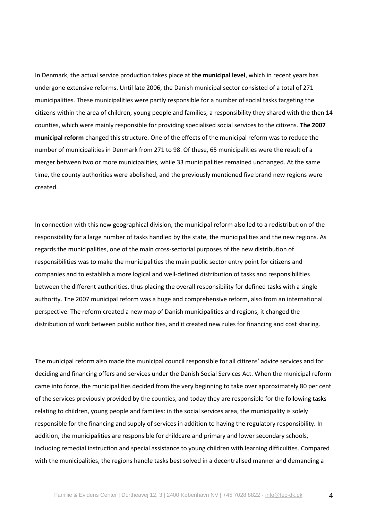In Denmark, the actual service production takes place at **the municipal level**, which in recent years has undergone extensive reforms. Until late 2006, the Danish municipal sector consisted of a total of 271 municipalities. These municipalities were partly responsible for a number of social tasks targeting the citizens within the area of children, young people and families; a responsibility they shared with the then 14 counties, which were mainly responsible for providing specialised social services to the citizens. **The 2007 municipal reform** changed this structure. One of the effects of the municipal reform was to reduce the number of municipalities in Denmark from 271 to 98. Of these, 65 municipalities were the result of a merger between two or more municipalities, while 33 municipalities remained unchanged. At the same time, the county authorities were abolished, and the previously mentioned five brand new regions were created.

In connection with this new geographical division, the municipal reform also led to a redistribution of the responsibility for a large number of tasks handled by the state, the municipalities and the new regions. As regards the municipalities, one of the main cross-sectorial purposes of the new distribution of responsibilities was to make the municipalities the main public sector entry point for citizens and companies and to establish a more logical and well-defined distribution of tasks and responsibilities between the different authorities, thus placing the overall responsibility for defined tasks with a single authority. The 2007 municipal reform was a huge and comprehensive reform, also from an international perspective. The reform created a new map of Danish municipalities and regions, it changed the distribution of work between public authorities, and it created new rules for financing and cost sharing.

The municipal reform also made the municipal council responsible for all citizens' advice services and for deciding and financing offers and services under the Danish Social Services Act. When the municipal reform came into force, the municipalities decided from the very beginning to take over approximately 80 per cent of the services previously provided by the counties, and today they are responsible for the following tasks relating to children, young people and families: in the social services area, the municipality is solely responsible for the financing and supply of services in addition to having the regulatory responsibility. In addition, the municipalities are responsible for childcare and primary and lower secondary schools, including remedial instruction and special assistance to young children with learning difficulties. Compared with the municipalities, the regions handle tasks best solved in a decentralised manner and demanding a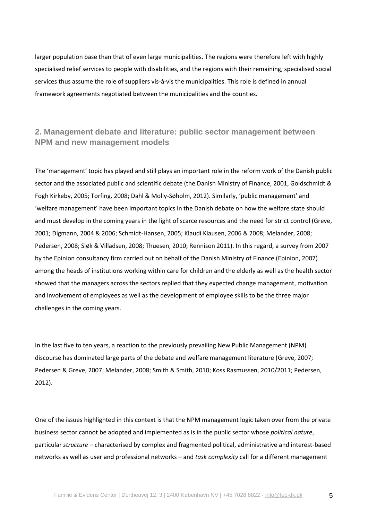larger population base than that of even large municipalities. The regions were therefore left with highly specialised relief services to people with disabilities, and the regions with their remaining, specialised social services thus assume the role of suppliers vis-à-vis the municipalities. This role is defined in annual framework agreements negotiated between the municipalities and the counties.

# **2. Management debate and literature: public sector management between NPM and new management models**

The 'management' topic has played and still plays an important role in the reform work of the Danish public sector and the associated public and scientific debate (the Danish Ministry of Finance, 2001, Goldschmidt & Fogh Kirkeby, 2005; Torfing, 2008; Dahl & Molly-Søholm, 2012). Similarly, 'public management' and 'welfare management' have been important topics in the Danish debate on how the welfare state should and must develop in the coming years in the light of scarce resources and the need for strict control (Greve, 2001; Digmann, 2004 & 2006; Schmidt-Hansen, 2005; Klaudi Klausen, 2006 & 2008; Melander, 2008; Pedersen, 2008; Sløk & Villadsen, 2008; Thuesen, 2010; Rennison 2011). In this regard, a survey from 2007 by the Epinion consultancy firm carried out on behalf of the Danish Ministry of Finance (Epinion, 2007) among the heads of institutions working within care for children and the elderly as well as the health sector showed that the managers across the sectors replied that they expected change management, motivation and involvement of employees as well as the development of employee skills to be the three major challenges in the coming years.

In the last five to ten years, a reaction to the previously prevailing New Public Management (NPM) discourse has dominated large parts of the debate and welfare management literature (Greve, 2007; Pedersen & Greve, 2007; Melander, 2008; Smith & Smith, 2010; Koss Rasmussen, 2010/2011; Pedersen, 2012).

One of the issues highlighted in this context is that the NPM management logic taken over from the private business sector cannot be adopted and implemented as is in the public sector whose *political nature*, particular *structure –* characterised by complex and fragmented political, administrative and interest-based networks as well as user and professional networks – and *task complexity* call for a different management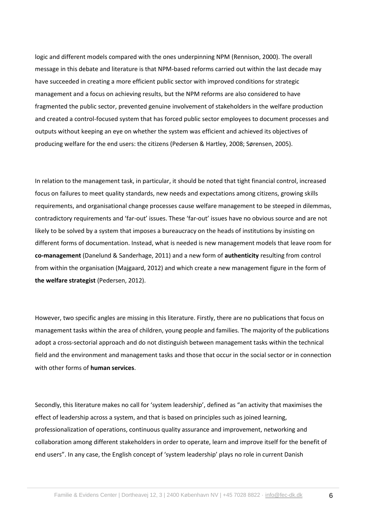logic and different models compared with the ones underpinning NPM (Rennison, 2000). The overall message in this debate and literature is that NPM-based reforms carried out within the last decade may have succeeded in creating a more efficient public sector with improved conditions for strategic management and a focus on achieving results, but the NPM reforms are also considered to have fragmented the public sector, prevented genuine involvement of stakeholders in the welfare production and created a control-focused system that has forced public sector employees to document processes and outputs without keeping an eye on whether the system was efficient and achieved its objectives of producing welfare for the end users: the citizens (Pedersen & Hartley, 2008; Sørensen, 2005).

In relation to the management task, in particular, it should be noted that tight financial control, increased focus on failures to meet quality standards, new needs and expectations among citizens, growing skills requirements, and organisational change processes cause welfare management to be steeped in dilemmas, contradictory requirements and 'far-out' issues. These 'far-out' issues have no obvious source and are not likely to be solved by a system that imposes a bureaucracy on the heads of institutions by insisting on different forms of documentation. Instead, what is needed is new management models that leave room for **co-management** (Danelund & Sanderhage, 2011) and a new form of **authenticity** resulting from control from within the organisation (Majgaard, 2012) and which create a new management figure in the form of **the welfare strategist** (Pedersen, 2012).

However, two specific angles are missing in this literature. Firstly, there are no publications that focus on management tasks within the area of children, young people and families. The majority of the publications adopt a cross-sectorial approach and do not distinguish between management tasks within the technical field and the environment and management tasks and those that occur in the social sector or in connection with other forms of **human services**.

Secondly, this literature makes no call for 'system leadership', defined as "an activity that maximises the effect of leadership across a system, and that is based on principles such as joined learning, professionalization of operations, continuous quality assurance and improvement, networking and collaboration among different stakeholders in order to operate, learn and improve itself for the benefit of end users". In any case, the English concept of 'system leadership' plays no role in current Danish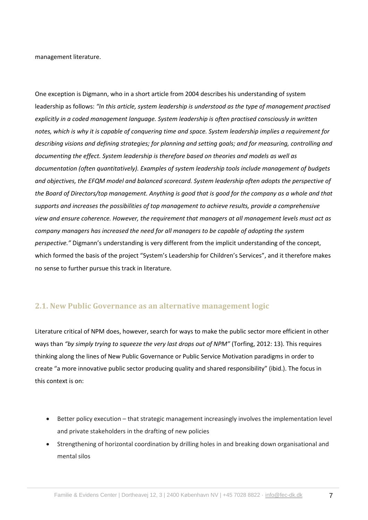management literature.

One exception is Digmann, who in a short article from 2004 describes his understanding of system leadership as follows: *"In this article, system leadership is understood as the type of management practised explicitly in a coded management language. System leadership is often practised consciously in written notes, which is why it is capable of conquering time and space. System leadership implies a requirement for describing visions and defining strategies; for planning and setting goals; and for measuring, controlling and documenting the effect. System leadership is therefore based on theories and models as well as documentation (often quantitatively). Examples of system leadership tools include management of budgets and objectives, the EFQM model and balanced scorecard. System leadership often adopts the perspective of the Board of Directors/top management. Anything is good that is good for the company as a whole and that supports and increases the possibilities of top management to achieve results, provide a comprehensive view and ensure coherence. However, the requirement that managers at all management levels must act as company managers has increased the need for all managers to be capable of adopting the system perspective."* Digmann's understanding is very different from the implicit understanding of the concept, which formed the basis of the project "System's Leadership for Children's Services", and it therefore makes no sense to further pursue this track in literature.

# **2.1. New Public Governance as an alternative management logic**

Literature critical of NPM does, however, search for ways to make the public sector more efficient in other ways than *"by simply trying to squeeze the very last drops out of NPM"* (Torfing, 2012: 13). This requires thinking along the lines of New Public Governance or Public Service Motivation paradigms in order to create "a more innovative public sector producing quality and shared responsibility" (ibid.). The focus in this context is on:

- Better policy execution that strategic management increasingly involves the implementation level and private stakeholders in the drafting of new policies
- Strengthening of horizontal coordination by drilling holes in and breaking down organisational and mental silos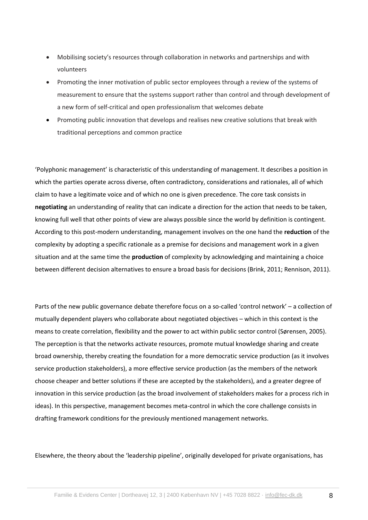- Mobilising society's resources through collaboration in networks and partnerships and with volunteers
- Promoting the inner motivation of public sector employees through a review of the systems of measurement to ensure that the systems support rather than control and through development of a new form of self-critical and open professionalism that welcomes debate
- Promoting public innovation that develops and realises new creative solutions that break with traditional perceptions and common practice

'Polyphonic management' is characteristic of this understanding of management. It describes a position in which the parties operate across diverse, often contradictory, considerations and rationales, all of which claim to have a legitimate voice and of which no one is given precedence. The core task consists in **negotiating** an understanding of reality that can indicate a direction for the action that needs to be taken, knowing full well that other points of view are always possible since the world by definition is contingent. According to this post-modern understanding, management involves on the one hand the **reduction** of the complexity by adopting a specific rationale as a premise for decisions and management work in a given situation and at the same time the **production** of complexity by acknowledging and maintaining a choice between different decision alternatives to ensure a broad basis for decisions (Brink, 2011; Rennison, 2011).

Parts of the new public governance debate therefore focus on a so-called 'control network' – a collection of mutually dependent players who collaborate about negotiated objectives – which in this context is the means to create correlation, flexibility and the power to act within public sector control (Sørensen, 2005). The perception is that the networks activate resources, promote mutual knowledge sharing and create broad ownership, thereby creating the foundation for a more democratic service production (as it involves service production stakeholders), a more effective service production (as the members of the network choose cheaper and better solutions if these are accepted by the stakeholders), and a greater degree of innovation in this service production (as the broad involvement of stakeholders makes for a process rich in ideas). In this perspective, management becomes meta-control in which the core challenge consists in drafting framework conditions for the previously mentioned management networks.

Elsewhere, the theory about the 'leadership pipeline', originally developed for private organisations, has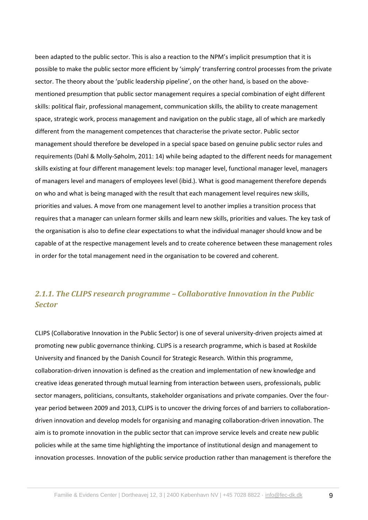been adapted to the public sector. This is also a reaction to the NPM's implicit presumption that it is possible to make the public sector more efficient by 'simply' transferring control processes from the private sector. The theory about the 'public leadership pipeline', on the other hand, is based on the abovementioned presumption that public sector management requires a special combination of eight different skills: political flair, professional management, communication skills, the ability to create management space, strategic work, process management and navigation on the public stage, all of which are markedly different from the management competences that characterise the private sector. Public sector management should therefore be developed in a special space based on genuine public sector rules and requirements (Dahl & Molly-Søholm, 2011: 14) while being adapted to the different needs for management skills existing at four different management levels: top manager level, functional manager level, managers of managers level and managers of employees level (ibid.). What is good management therefore depends on who and what is being managed with the result that each management level requires new skills, priorities and values. A move from one management level to another implies a transition process that requires that a manager can unlearn former skills and learn new skills, priorities and values. The key task of the organisation is also to define clear expectations to what the individual manager should know and be capable of at the respective management levels and to create coherence between these management roles in order for the total management need in the organisation to be covered and coherent.

# *2.1.1. The CLIPS research programme – Collaborative Innovation in the Public Sector*

CLIPS (Collaborative Innovation in the Public Sector) is one of several university-driven projects aimed at promoting new public governance thinking. CLIPS is a research programme, which is based at Roskilde University and financed by the Danish Council for Strategic Research. Within this programme, collaboration-driven innovation is defined as the creation and implementation of new knowledge and creative ideas generated through mutual learning from interaction between users, professionals, public sector managers, politicians, consultants, stakeholder organisations and private companies. Over the fouryear period between 2009 and 2013, CLIPS is to uncover the driving forces of and barriers to collaborationdriven innovation and develop models for organising and managing collaboration-driven innovation. The aim is to promote innovation in the public sector that can improve service levels and create new public policies while at the same time highlighting the importance of institutional design and management to innovation processes. Innovation of the public service production rather than management is therefore the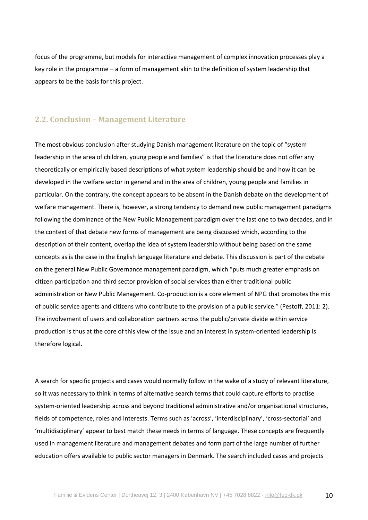focus of the programme, but models for interactive management of complex innovation processes play a key role in the programme – a form of management akin to the definition of system leadership that appears to be the basis for this project.

### **2.2. Conclusion – Management Literature**

The most obvious conclusion after studying Danish management literature on the topic of "system leadership in the area of children, young people and families" is that the literature does not offer any theoretically or empirically based descriptions of what system leadership should be and how it can be developed in the welfare sector in general and in the area of children, young people and families in particular. On the contrary, the concept appears to be absent in the Danish debate on the development of welfare management. There is, however, a strong tendency to demand new public management paradigms following the dominance of the New Public Management paradigm over the last one to two decades, and in the context of that debate new forms of management are being discussed which, according to the description of their content, overlap the idea of system leadership without being based on the same concepts as is the case in the English language literature and debate. This discussion is part of the debate on the general New Public Governance management paradigm, which "puts much greater emphasis on citizen participation and third sector provision of social services than either traditional public administration or New Public Management. Co-production is a core element of NPG that promotes the mix of public service agents and citizens who contribute to the provision of a public service." (Pestoff, 2011: 2). The involvement of users and collaboration partners across the public/private divide within service production is thus at the core of this view of the issue and an interest in system-oriented leadership is therefore logical.

A search for specific projects and cases would normally follow in the wake of a study of relevant literature, so it was necessary to think in terms of alternative search terms that could capture efforts to practise system-oriented leadership across and beyond traditional administrative and/or organisational structures, fields of competence, roles and interests. Terms such as 'across', 'interdisciplinary', 'cross-sectorial' and 'multidisciplinary' appear to best match these needs in terms of language. These concepts are frequently used in management literature and management debates and form part of the large number of further education offers available to public sector managers in Denmark. The search included cases and projects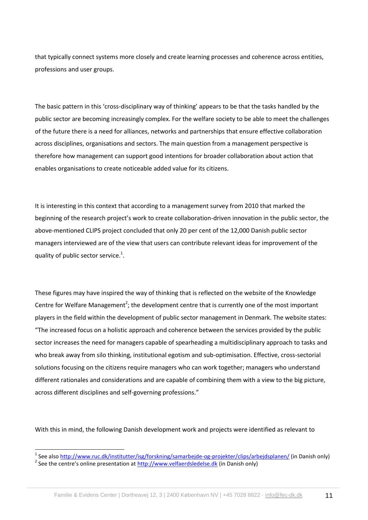that typically connect systems more closely and create learning processes and coherence across entities, professions and user groups.

The basic pattern in this 'cross-disciplinary way of thinking' appears to be that the tasks handled by the public sector are becoming increasingly complex. For the welfare society to be able to meet the challenges of the future there is a need for alliances, networks and partnerships that ensure effective collaboration across disciplines, organisations and sectors. The main question from a management perspective is therefore how management can support good intentions for broader collaboration about action that enables organisations to create noticeable added value for its citizens.

It is interesting in this context that according to a management survey from 2010 that marked the beginning of the research project's work to create collaboration-driven innovation in the public sector, the above-mentioned CLIPS project concluded that only 20 per cent of the 12,000 Danish public sector managers interviewed are of the view that users can contribute relevant ideas for improvement of the quality of public sector service. $1$ .

These figures may have inspired the way of thinking that is reflected on the website of the Knowledge Centre for Welfare Management<sup>2</sup>; the development centre that is currently one of the most important players in the field within the development of public sector management in Denmark. The website states: "The increased focus on a holistic approach and coherence between the services provided by the public sector increases the need for managers capable of spearheading a multidisciplinary approach to tasks and who break away from silo thinking, institutional egotism and sub-optimisation. Effective, cross-sectorial solutions focusing on the citizens require managers who can work together; managers who understand different rationales and considerations and are capable of combining them with a view to the big picture, across different disciplines and self-governing professions."

With this in mind, the following Danish development work and projects were identified as relevant to

-

<sup>&</sup>lt;sup>1</sup> See also <u>http://www.ruc.dk/institutter/isg/forskning/samarbejde-og-projekter/clips/arbejdsplanen/</u> (in Danish only)

<sup>&</sup>lt;sup>2</sup> See the centre's online presentation at [http://www.velfaerdsledelse.dk](http://www.velfaerdsledelse.dk/) (in Danish only)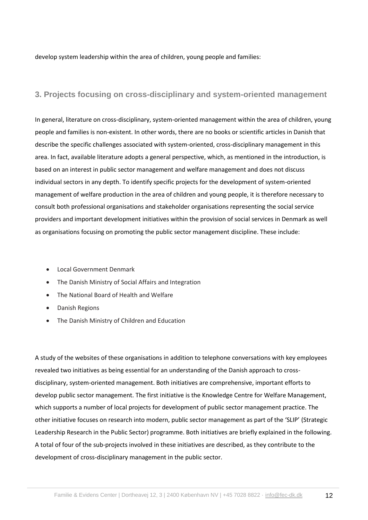develop system leadership within the area of children, young people and families:

## **3. Projects focusing on cross-disciplinary and system-oriented management**

In general, literature on cross-disciplinary, system-oriented management within the area of children, young people and families is non-existent. In other words, there are no books or scientific articles in Danish that describe the specific challenges associated with system-oriented, cross-disciplinary management in this area. In fact, available literature adopts a general perspective, which, as mentioned in the introduction, is based on an interest in public sector management and welfare management and does not discuss individual sectors in any depth. To identify specific projects for the development of system-oriented management of welfare production in the area of children and young people, it is therefore necessary to consult both professional organisations and stakeholder organisations representing the social service providers and important development initiatives within the provision of social services in Denmark as well as organisations focusing on promoting the public sector management discipline. These include:

- **.** Local Government Denmark
- The Danish Ministry of Social Affairs and Integration
- The National Board of Health and Welfare
- Danish Regions
- The Danish Ministry of Children and Education

A study of the websites of these organisations in addition to telephone conversations with key employees revealed two initiatives as being essential for an understanding of the Danish approach to crossdisciplinary, system-oriented management. Both initiatives are comprehensive, important efforts to develop public sector management. The first initiative is the Knowledge Centre for Welfare Management, which supports a number of local projects for development of public sector management practice. The other initiative focuses on research into modern, public sector management as part of the 'SLIP' (Strategic Leadership Research in the Public Sector) programme. Both initiatives are briefly explained in the following. A total of four of the sub-projects involved in these initiatives are described, as they contribute to the development of cross-disciplinary management in the public sector.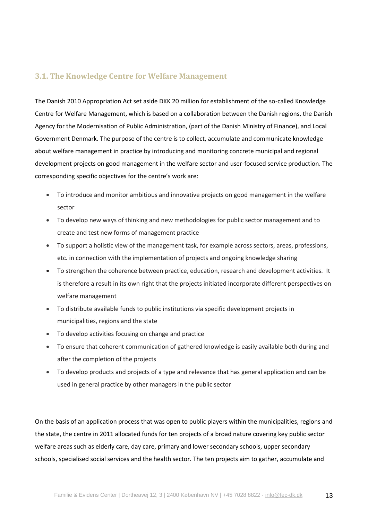## **3.1. The Knowledge Centre for Welfare Management**

The Danish 2010 Appropriation Act set aside DKK 20 million for establishment of the so-called Knowledge Centre for Welfare Management, which is based on a collaboration between the Danish regions, the Danish Agency for the Modernisation of Public Administration, (part of the Danish Ministry of Finance), and Local Government Denmark. The purpose of the centre is to collect, accumulate and communicate knowledge about welfare management in practice by introducing and monitoring concrete municipal and regional development projects on good management in the welfare sector and user-focused service production. The corresponding specific objectives for the centre's work are:

- To introduce and monitor ambitious and innovative projects on good management in the welfare sector
- To develop new ways of thinking and new methodologies for public sector management and to create and test new forms of management practice
- To support a holistic view of the management task, for example across sectors, areas, professions, etc. in connection with the implementation of projects and ongoing knowledge sharing
- To strengthen the coherence between practice, education, research and development activities. It is therefore a result in its own right that the projects initiated incorporate different perspectives on welfare management
- To distribute available funds to public institutions via specific development projects in municipalities, regions and the state
- To develop activities focusing on change and practice
- To ensure that coherent communication of gathered knowledge is easily available both during and after the completion of the projects
- To develop products and projects of a type and relevance that has general application and can be used in general practice by other managers in the public sector

On the basis of an application process that was open to public players within the municipalities, regions and the state, the centre in 2011 allocated funds for ten projects of a broad nature covering key public sector welfare areas such as elderly care, day care, primary and lower secondary schools, upper secondary schools, specialised social services and the health sector. The ten projects aim to gather, accumulate and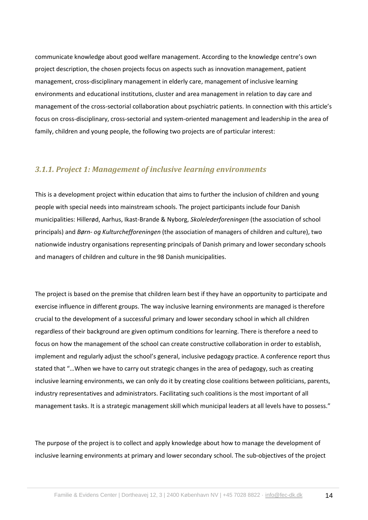communicate knowledge about good welfare management. According to the knowledge centre's own project description, the chosen projects focus on aspects such as innovation management, patient management, cross-disciplinary management in elderly care, management of inclusive learning environments and educational institutions, cluster and area management in relation to day care and management of the cross-sectorial collaboration about psychiatric patients. In connection with this article's focus on cross-disciplinary, cross-sectorial and system-oriented management and leadership in the area of family, children and young people, the following two projects are of particular interest:

#### *3.1.1. Project 1: Management of inclusive learning environments*

This is a development project within education that aims to further the inclusion of children and young people with special needs into mainstream schools. The project participants include four Danish municipalities: Hillerød, Aarhus, Ikast-Brande & Nyborg, *Skolelederforeningen* (the association of school principals) and *Børn- og Kulturchefforeningen* (the association of managers of children and culture), two nationwide industry organisations representing principals of Danish primary and lower secondary schools and managers of children and culture in the 98 Danish municipalities.

The project is based on the premise that children learn best if they have an opportunity to participate and exercise influence in different groups. The way inclusive learning environments are managed is therefore crucial to the development of a successful primary and lower secondary school in which all children regardless of their background are given optimum conditions for learning. There is therefore a need to focus on how the management of the school can create constructive collaboration in order to establish, implement and regularly adjust the school's general, inclusive pedagogy practice. A conference report thus stated that "…When we have to carry out strategic changes in the area of pedagogy, such as creating inclusive learning environments, we can only do it by creating close coalitions between politicians, parents, industry representatives and administrators. Facilitating such coalitions is the most important of all management tasks. It is a strategic management skill which municipal leaders at all levels have to possess."

The purpose of the project is to collect and apply knowledge about how to manage the development of inclusive learning environments at primary and lower secondary school. The sub-objectives of the project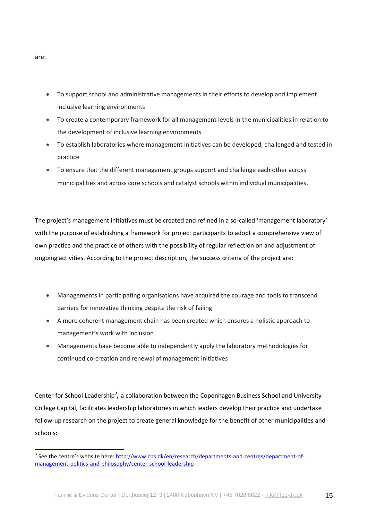- To support school and administrative managements in their efforts to develop and implement inclusive learning environments
- To create a contemporary framework for all management levels in the municipalities in relation to the development of inclusive learning environments
- To establish laboratories where management initiatives can be developed, challenged and tested in practice
- To ensure that the different management groups support and challenge each other across municipalities and across core schools and catalyst schools within individual municipalities.

The project's management initiatives must be created and refined in a so-called 'management laboratory' with the purpose of establishing a framework for project participants to adopt a comprehensive view of own practice and the practice of others with the possibility of regular reflection on and adjustment of ongoing activities. According to the project description, the success criteria of the project are:

- Managements in participating organisations have acquired the courage and tools to transcend barriers for innovative thinking despite the risk of failing
- A more coherent management chain has been created which ensures a holistic approach to management's work with inclusion
- Managements have become able to independently apply the laboratory methodologies for continued co-creation and renewal of management initiatives

Center for School Leadership<sup>3</sup>, a collaboration between the Copenhagen Business School and University College Capital, facilitates leadership laboratories in which leaders develop their practice and undertake follow-up research on the project to create general knowledge for the benefit of other municipalities and schools:

are:

-

<sup>&</sup>lt;sup>3</sup> See the centre's website here: [http://www.cbs.dk/en/research/departments-and-centres/department-of](http://www.cbs.dk/en/research/departments-and-centres/department-of-management-politics-and-philosophy/center-school-leadership)[management-politics-and-philosophy/center-school-leadership](http://www.cbs.dk/en/research/departments-and-centres/department-of-management-politics-and-philosophy/center-school-leadership)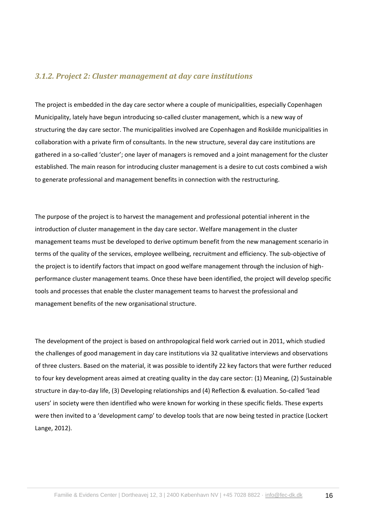#### *3.1.2. Project 2: Cluster management at day care institutions*

The project is embedded in the day care sector where a couple of municipalities, especially Copenhagen Municipality, lately have begun introducing so-called cluster management, which is a new way of structuring the day care sector. The municipalities involved are Copenhagen and Roskilde municipalities in collaboration with a private firm of consultants. In the new structure, several day care institutions are gathered in a so-called 'cluster'; one layer of managers is removed and a joint management for the cluster established. The main reason for introducing cluster management is a desire to cut costs combined a wish to generate professional and management benefits in connection with the restructuring.

The purpose of the project is to harvest the management and professional potential inherent in the introduction of cluster management in the day care sector. Welfare management in the cluster management teams must be developed to derive optimum benefit from the new management scenario in terms of the quality of the services, employee wellbeing, recruitment and efficiency. The sub-objective of the project is to identify factors that impact on good welfare management through the inclusion of highperformance cluster management teams. Once these have been identified, the project will develop specific tools and processes that enable the cluster management teams to harvest the professional and management benefits of the new organisational structure.

The development of the project is based on anthropological field work carried out in 2011, which studied the challenges of good management in day care institutions via 32 qualitative interviews and observations of three clusters. Based on the material, it was possible to identify 22 key factors that were further reduced to four key development areas aimed at creating quality in the day care sector: (1) Meaning, (2) Sustainable structure in day-to-day life, (3) Developing relationships and (4) Reflection & evaluation. So-called 'lead users' in society were then identified who were known for working in these specific fields. These experts were then invited to a 'development camp' to develop tools that are now being tested in practice (Lockert Lange, 2012).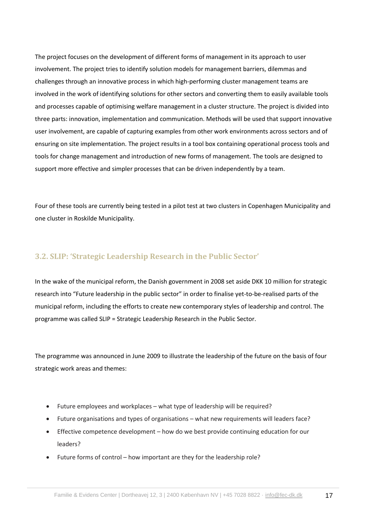The project focuses on the development of different forms of management in its approach to user involvement. The project tries to identify solution models for management barriers, dilemmas and challenges through an innovative process in which high-performing cluster management teams are involved in the work of identifying solutions for other sectors and converting them to easily available tools and processes capable of optimising welfare management in a cluster structure. The project is divided into three parts: innovation, implementation and communication. Methods will be used that support innovative user involvement, are capable of capturing examples from other work environments across sectors and of ensuring on site implementation. The project results in a tool box containing operational process tools and tools for change management and introduction of new forms of management. The tools are designed to support more effective and simpler processes that can be driven independently by a team.

Four of these tools are currently being tested in a pilot test at two clusters in Copenhagen Municipality and one cluster in Roskilde Municipality.

## **3.2. SLIP: 'Strategic Leadership Research in the Public Sector'**

In the wake of the municipal reform, the Danish government in 2008 set aside DKK 10 million for strategic research into "Future leadership in the public sector" in order to finalise yet-to-be-realised parts of the municipal reform, including the efforts to create new contemporary styles of leadership and control. The programme was called SLIP = Strategic Leadership Research in the Public Sector.

The programme was announced in June 2009 to illustrate the leadership of the future on the basis of four strategic work areas and themes:

- Future employees and workplaces what type of leadership will be required?
- Future organisations and types of organisations what new requirements will leaders face?
- Effective competence development how do we best provide continuing education for our leaders?
- Future forms of control how important are they for the leadership role?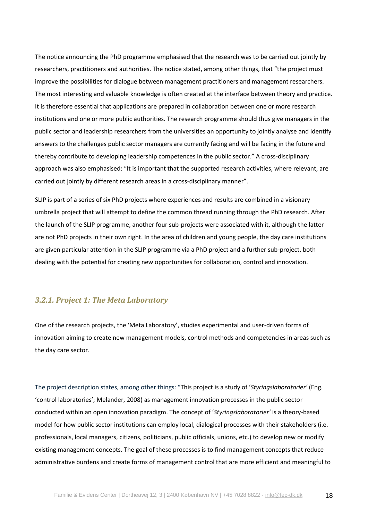The notice announcing the PhD programme emphasised that the research was to be carried out jointly by researchers, practitioners and authorities. The notice stated, among other things, that "the project must improve the possibilities for dialogue between management practitioners and management researchers. The most interesting and valuable knowledge is often created at the interface between theory and practice. It is therefore essential that applications are prepared in collaboration between one or more research institutions and one or more public authorities. The research programme should thus give managers in the public sector and leadership researchers from the universities an opportunity to jointly analyse and identify answers to the challenges public sector managers are currently facing and will be facing in the future and thereby contribute to developing leadership competences in the public sector." A cross-disciplinary approach was also emphasised: "It is important that the supported research activities, where relevant, are carried out jointly by different research areas in a cross-disciplinary manner".

SLIP is part of a series of six PhD projects where experiences and results are combined in a visionary umbrella project that will attempt to define the common thread running through the PhD research. After the launch of the SLIP programme, another four sub-projects were associated with it, although the latter are not PhD projects in their own right. In the area of children and young people, the day care institutions are given particular attention in the SLIP programme via a PhD project and a further sub-project, both dealing with the potential for creating new opportunities for collaboration, control and innovation.

### *3.2.1. Project 1: The Meta Laboratory*

One of the research projects, the 'Meta Laboratory', studies experimental and user-driven forms of innovation aiming to create new management models, control methods and competencies in areas such as the day care sector.

The project description states, among other things: "This project is a study of '*Styringslaboratorier'* (Eng. 'control laboratories'; Melander, 2008) as management innovation processes in the public sector conducted within an open innovation paradigm. The concept of '*Styringslaboratorier'* is a theory-based model for how public sector institutions can employ local, dialogical processes with their stakeholders (i.e. professionals, local managers, citizens, politicians, public officials, unions, etc.) to develop new or modify existing management concepts. The goal of these processes is to find management concepts that reduce administrative burdens and create forms of management control that are more efficient and meaningful to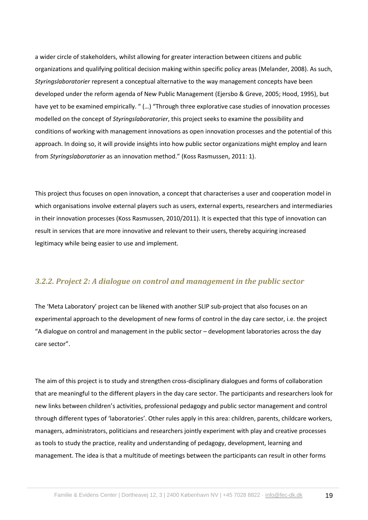a wider circle of stakeholders, whilst allowing for greater interaction between citizens and public organizations and qualifying political decision making within specific policy areas (Melander, 2008). As such, *Styringslaboratorier* represent a conceptual alternative to the way management concepts have been developed under the reform agenda of New Public Management (Ejersbo & Greve, 2005; Hood, 1995), but have yet to be examined empirically. " (…) "Through three explorative case studies of innovation processes modelled on the concept of *Styringslaboratorier*, this project seeks to examine the possibility and conditions of working with management innovations as open innovation processes and the potential of this approach. In doing so, it will provide insights into how public sector organizations might employ and learn from *Styringslaboratorier* as an innovation method." (Koss Rasmussen, 2011: 1).

This project thus focuses on open innovation, a concept that characterises a user and cooperation model in which organisations involve external players such as users, external experts, researchers and intermediaries in their innovation processes (Koss Rasmussen, 2010/2011). It is expected that this type of innovation can result in services that are more innovative and relevant to their users, thereby acquiring increased legitimacy while being easier to use and implement.

### *3.2.2. Project 2: A dialogue on control and management in the public sector*

The 'Meta Laboratory' project can be likened with another SLIP sub-project that also focuses on an experimental approach to the development of new forms of control in the day care sector, i.e. the project "A dialogue on control and management in the public sector – development laboratories across the day care sector".

The aim of this project is to study and strengthen cross-disciplinary dialogues and forms of collaboration that are meaningful to the different players in the day care sector. The participants and researchers look for new links between children's activities, professional pedagogy and public sector management and control through different types of 'laboratories'. Other rules apply in this area: children, parents, childcare workers, managers, administrators, politicians and researchers jointly experiment with play and creative processes as tools to study the practice, reality and understanding of pedagogy, development, learning and management. The idea is that a multitude of meetings between the participants can result in other forms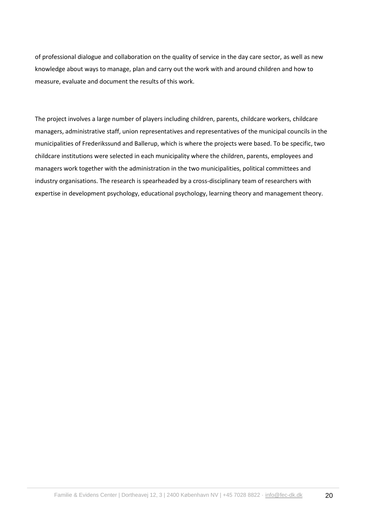of professional dialogue and collaboration on the quality of service in the day care sector, as well as new knowledge about ways to manage, plan and carry out the work with and around children and how to measure, evaluate and document the results of this work.

The project involves a large number of players including children, parents, childcare workers, childcare managers, administrative staff, union representatives and representatives of the municipal councils in the municipalities of Frederikssund and Ballerup, which is where the projects were based. To be specific, two childcare institutions were selected in each municipality where the children, parents, employees and managers work together with the administration in the two municipalities, political committees and industry organisations. The research is spearheaded by a cross-disciplinary team of researchers with expertise in development psychology, educational psychology, learning theory and management theory.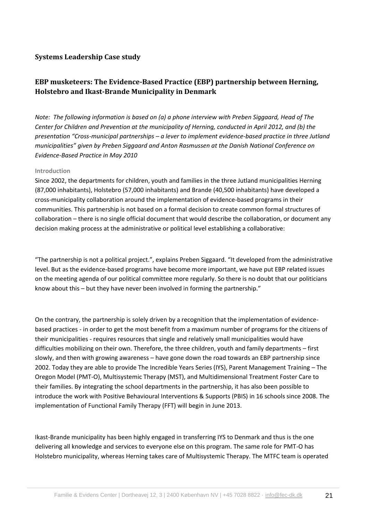### **Systems Leadership Case study**

# **EBP musketeers: The Evidence-Based Practice (EBP) partnership between Herning, Holstebro and Ikast-Brande Municipality in Denmark**

*Note: The following information is based on (a) a phone interview with Preben Siggaard, Head of The Center for Children and Prevention at the municipality of Herning, conducted in April 2012, and (b) the presentation "Cross-municipal partnerships – a lever to implement evidence-based practice in three Jutland municipalities" given by Preben Siggaard and Anton Rasmussen at the Danish National Conference on Evidence-Based Practice in May 2010*

#### **Introduction**

Since 2002, the departments for children, youth and families in the three Jutland municipalities Herning (87,000 inhabitants), Holstebro (57,000 inhabitants) and Brande (40,500 inhabitants) have developed a cross-municipality collaboration around the implementation of evidence-based programs in their communities. This partnership is not based on a formal decision to create common formal structures of collaboration – there is no single official document that would describe the collaboration, or document any decision making process at the administrative or political level establishing a collaborative:

"The partnership is not a political project.", explains Preben Siggaard. "It developed from the administrative level. But as the evidence-based programs have become more important, we have put EBP related issues on the meeting agenda of our political committee more regularly. So there is no doubt that our politicians know about this – but they have never been involved in forming the partnership."

On the contrary, the partnership is solely driven by a recognition that the implementation of evidencebased practices - in order to get the most benefit from a maximum number of programs for the citizens of their municipalities - requires resources that single and relatively small municipalities would have difficulties mobilizing on their own. Therefore, the three children, youth and family departments – first slowly, and then with growing awareness – have gone down the road towards an EBP partnership since 2002. Today they are able to provide The Incredible Years Series (IYS), Parent Management Training – The Oregon Model (PMT-O), Multisystemic Therapy (MST), and Multidimensional Treatment Foster Care to their families. By integrating the school departments in the partnership, it has also been possible to introduce the work with Positive Behavioural Interventions & Supports (PBIS) in 16 schools since 2008. The implementation of Functional Family Therapy (FFT) will begin in June 2013.

Ikast-Brande municipality has been highly engaged in transferring IYS to Denmark and thus is the one delivering all knowledge and services to everyone else on this program. The same role for PMT-O has Holstebro municipality, whereas Herning takes care of Multisystemic Therapy. The MTFC team is operated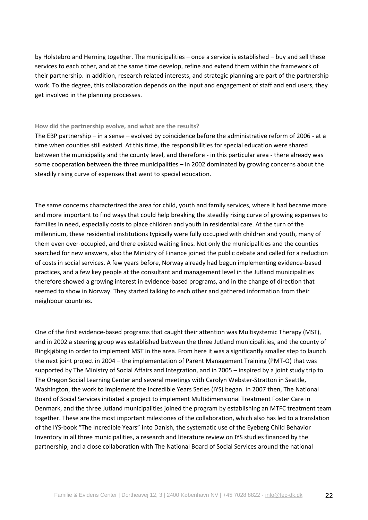by Holstebro and Herning together. The municipalities – once a service is established – buy and sell these services to each other, and at the same time develop, refine and extend them within the framework of their partnership. In addition, research related interests, and strategic planning are part of the partnership work. To the degree, this collaboration depends on the input and engagement of staff and end users, they get involved in the planning processes.

#### **How did the partnership evolve, and what are the results?**

The EBP partnership – in a sense – evolved by coincidence before the administrative reform of 2006 - at a time when counties still existed. At this time, the responsibilities for special education were shared between the municipality and the county level, and therefore - in this particular area - there already was some cooperation between the three municipalities – in 2002 dominated by growing concerns about the steadily rising curve of expenses that went to special education.

The same concerns characterized the area for child, youth and family services, where it had became more and more important to find ways that could help breaking the steadily rising curve of growing expenses to families in need, especially costs to place children and youth in residential care. At the turn of the millennium, these residential institutions typically were fully occupied with children and youth, many of them even over-occupied, and there existed waiting lines. Not only the municipalities and the counties searched for new answers, also the Ministry of Finance joined the public debate and called for a reduction of costs in social services. A few years before, Norway already had begun implementing evidence-based practices, and a few key people at the consultant and management level in the Jutland municipalities therefore showed a growing interest in evidence-based programs, and in the change of direction that seemed to show in Norway. They started talking to each other and gathered information from their neighbour countries.

One of the first evidence-based programs that caught their attention was Multisystemic Therapy (MST), and in 2002 a steering group was established between the three Jutland municipalities, and the county of Ringkjøbing in order to implement MST in the area. From here it was a significantly smaller step to launch the next joint project in 2004 – the implementation of Parent Management Training (PMT-O) that was supported by The Ministry of Social Affairs and Integration, and in 2005 – inspired by a joint study trip to The Oregon Social Learning Center and several meetings with Carolyn Webster-Stratton in Seattle, Washington, the work to implement the Incredible Years Series (IYS) began. In 2007 then, The National Board of Social Services initiated a project to implement Multidimensional Treatment Foster Care in Denmark, and the three Jutland municipalities joined the program by establishing an MTFC treatment team together. These are the most important milestones of the collaboration, which also has led to a translation of the IYS-book "The Incredible Years" into Danish, the systematic use of the Eyeberg Child Behavior Inventory in all three municipalities, a research and literature review on IYS studies financed by the partnership, and a close collaboration with The National Board of Social Services around the national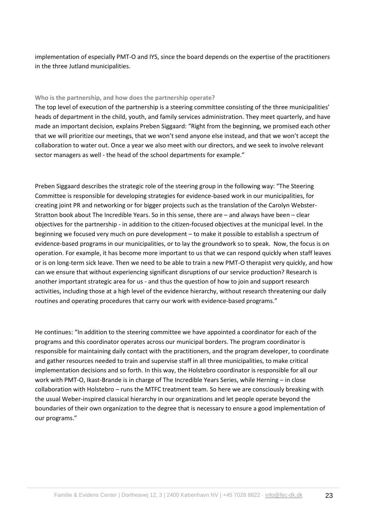implementation of especially PMT-O and IYS, since the board depends on the expertise of the practitioners in the three Jutland municipalities.

#### **Who is the partnership, and how does the partnership operate?**

The top level of execution of the partnership is a steering committee consisting of the three municipalities' heads of department in the child, youth, and family services administration. They meet quarterly, and have made an important decision, explains Preben Siggaard: "Right from the beginning, we promised each other that we will prioritize our meetings, that we won't send anyone else instead, and that we won't accept the collaboration to water out. Once a year we also meet with our directors, and we seek to involve relevant sector managers as well - the head of the school departments for example."

Preben Siggaard describes the strategic role of the steering group in the following way: "The Steering Committee is responsible for developing strategies for evidence-based work in our municipalities, for creating joint PR and networking or for bigger projects such as the translation of the Carolyn Webster-Stratton book about The Incredible Years. So in this sense, there are – and always have been – clear objectives for the partnership - in addition to the citizen-focused objectives at the municipal level. In the beginning we focused very much on pure development – to make it possible to establish a spectrum of evidence-based programs in our municipalities, or to lay the groundwork so to speak. Now, the focus is on operation. For example, it has become more important to us that we can respond quickly when staff leaves or is on long-term sick leave. Then we need to be able to train a new PMT-O therapist very quickly, and how can we ensure that without experiencing significant disruptions of our service production? Research is another important strategic area for us - and thus the question of how to join and support research activities, including those at a high level of the evidence hierarchy, without research threatening our daily routines and operating procedures that carry our work with evidence-based programs."

He continues: "In addition to the steering committee we have appointed a coordinator for each of the programs and this coordinator operates across our municipal borders. The program coordinator is responsible for maintaining daily contact with the practitioners, and the program developer, to coordinate and gather resources needed to train and supervise staff in all three municipalities, to make critical implementation decisions and so forth. In this way, the Holstebro coordinator is responsible for all our work with PMT-O, Ikast-Brande is in charge of The Incredible Years Series, while Herning – in close collaboration with Holstebro – runs the MTFC treatment team. So here we are consciously breaking with the usual Weber-inspired classical hierarchy in our organizations and let people operate beyond the boundaries of their own organization to the degree that is necessary to ensure a good implementation of our programs."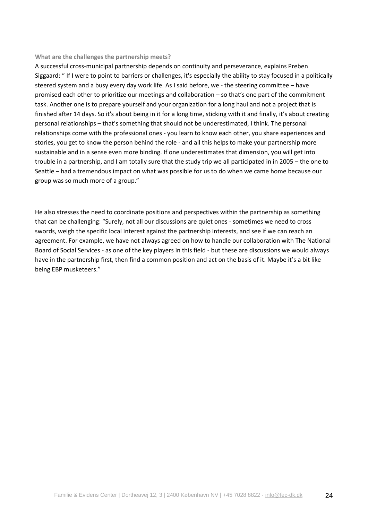#### **What are the challenges the partnership meets?**

A successful cross-municipal partnership depends on continuity and perseverance, explains Preben Siggaard: " If I were to point to barriers or challenges, it's especially the ability to stay focused in a politically steered system and a busy every day work life. As I said before, we - the steering committee – have promised each other to prioritize our meetings and collaboration – so that's one part of the commitment task. Another one is to prepare yourself and your organization for a long haul and not a project that is finished after 14 days. So it's about being in it for a long time, sticking with it and finally, it's about creating personal relationships – that's something that should not be underestimated, I think. The personal relationships come with the professional ones - you learn to know each other, you share experiences and stories, you get to know the person behind the role - and all this helps to make your partnership more sustainable and in a sense even more binding. If one underestimates that dimension, you will get into trouble in a partnership, and I am totally sure that the study trip we all participated in in 2005 – the one to Seattle – had a tremendous impact on what was possible for us to do when we came home because our group was so much more of a group."

He also stresses the need to coordinate positions and perspectives within the partnership as something that can be challenging: "Surely, not all our discussions are quiet ones - sometimes we need to cross swords, weigh the specific local interest against the partnership interests, and see if we can reach an agreement. For example, we have not always agreed on how to handle our collaboration with The National Board of Social Services - as one of the key players in this field - but these are discussions we would always have in the partnership first, then find a common position and act on the basis of it. Maybe it's a bit like being EBP musketeers."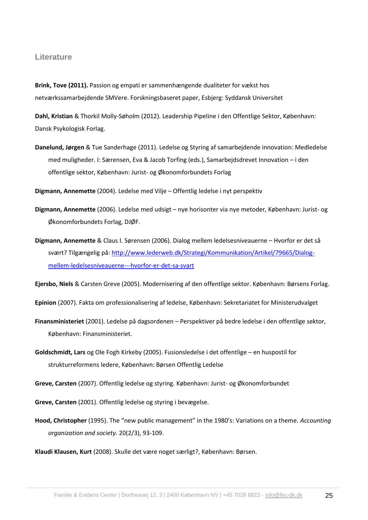#### **Literature**

**Brink, Tove (2011).** Passion og empati er sammenhængende dualiteter for vækst hos netværkssamarbejdende SMVere. Forskningsbaseret paper, Esbjerg: Syddansk Universitet

**Dahl, Kristian** & Thorkil Molly-Søholm (2012). Leadership Pipeline i den Offentlige Sektor, København: Dansk Psykologisk Forlag.

- **Danelund, Jørgen** & Tue Sanderhage (2011). Ledelse og Styring af samarbejdende innovation: Medledelse med muligheder. I: Særensen, Eva & Jacob Torfing (eds.), Samarbejdsdrevet Innovation – i den offentlige sektor, København: Jurist- og Økonomforbundets Forlag
- **Digmann, Annemette** (2004). Ledelse med Vilje Offentlig ledelse i nyt perspektiv
- **Digmann, Annemette** (2006). Ledelse med udsigt nye horisonter via nye metoder, København: Jurist- og Økonomforbundets Forlag, DJØF.
- **Digmann, Annemette** & Claus I. Sørensen (2006). Dialog mellem ledelsesniveauerne Hvorfor er det så svært? Tilgængelig på[: http://www.lederweb.dk/Strategi/Kommunikation/Artikel/79665/Dialog](http://www.lederweb.dk/Strategi/Kommunikation/Artikel/79665/Dialog-mellem-ledelsesniveauerne---hvorfor-er-det-sa-svart)[mellem-ledelsesniveauerne---hvorfor-er-det-sa-svart](http://www.lederweb.dk/Strategi/Kommunikation/Artikel/79665/Dialog-mellem-ledelsesniveauerne---hvorfor-er-det-sa-svart)

**Ejersbo, Niels** & Carsten Greve (2005). Modernisering af den offentlige sektor. København: Børsens Forlag.

**Epinion** (2007). Fakta om professionalisering af ledelse, København: Sekretariatet for Ministerudvalget

- **Finansministeriet** (2001). Ledelse på dagsordenen Perspektiver på bedre ledelse i den offentlige sektor, København: Finansministeriet.
- **Goldschmidt, Lars** og Ole Fogh Kirkeby (2005). Fusionsledelse i det offentlige en huspostil for strukturreformens ledere, København: Børsen Offentlig Ledelse

**Greve, Carsten** (2007). Offentlig ledelse og styring. København: Jurist- og Økonomforbundet

**Greve, Carsten** (2001). Offentlig ledelse og styring i bevægelse.

**Hood, Christopher** (1995). The "new public management" in the 1980's: Variations on a theme. *Accounting organization and society.* 20(2/3), 93-109.

**Klaudi Klausen, Kurt** (2008). Skulle det være noget særligt?, København: Børsen.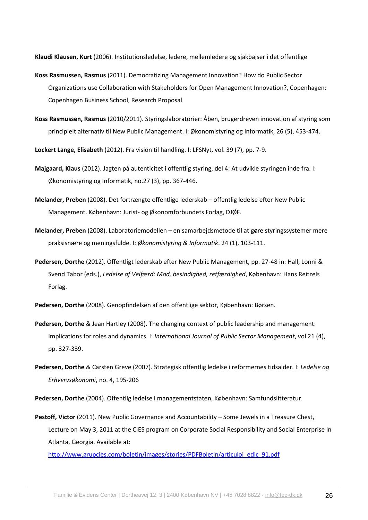**Klaudi Klausen, Kurt** (2006). Institutionsledelse, ledere, mellemledere og sjakbajser i det offentlige

- **Koss Rasmussen, Rasmus** (2011). Democratizing Management Innovation? How do Public Sector Organizations use Collaboration with Stakeholders for Open Management Innovation?, Copenhagen: Copenhagen Business School, Research Proposal
- **Koss Rasmussen, Rasmus** (2010/2011). Styringslaboratorier: Åben, brugerdreven innovation af styring som principielt alternativ til New Public Management. I: Økonomistyring og Informatik, 26 (5), 453-474.

**Lockert Lange, Elisabeth** (2012). Fra vision til handling. I: LFSNyt, vol. 39 (7), pp. 7-9.

- **Majgaard, Klaus** (2012). Jagten på autenticitet i offentlig styring, del 4: At udvikle styringen inde fra. I: Økonomistyring og Informatik, no.27 (3), pp. 367-446.
- **Melander, Preben** (2008). Det fortrængte offentlige lederskab offentlig ledelse efter New Public Management. København: Jurist- og Økonomforbundets Forlag, DJØF.
- **Melander, Preben** (2008). Laboratoriemodellen en samarbejdsmetode til at gøre styringssystemer mere praksisnære og meningsfulde. I: *Økonomistyring & Informatik*. 24 (1), 103-111.
- **Pedersen, Dorthe** (2012). Offentligt lederskab efter New Public Management, pp. 27-48 in: Hall, Lonni & Svend Tabor (eds.), *Ledelse af Velfærd: Mod, besindighed, retfærdighed*, København: Hans Reitzels Forlag.
- **Pedersen, Dorthe** (2008). Genopfindelsen af den offentlige sektor, København: Børsen.
- **Pedersen, Dorthe** & Jean Hartley (2008). The changing context of public leadership and management: Implications for roles and dynamics. I: *International Journal of Public Sector Management*, vol 21 (4), pp. 327-339.
- **Pedersen, Dorthe** & Carsten Greve (2007). Strategisk offentlig ledelse i reformernes tidsalder. I: *Ledelse og Erhvervsøkonomi*, no. 4, 195-206
- **Pedersen, Dorthe** (2004). Offentlig ledelse i managementstaten, København: Samfundslitteratur.
- **Pestoff, Victor** (2011). New Public Governance and Accountability Some Jewels in a Treasure Chest, Lecture on May 3, 2011 at the CIES program on Corporate Social Responsibility and Social Enterprise in Atlanta, Georgia. Available at:

[http://www.grupcies.com/boletin/images/stories/PDFBoletin/articuloi\\_edic\\_91.pdf](http://www.grupcies.com/boletin/images/stories/PDFBoletin/articuloi_edic_91.pdf)